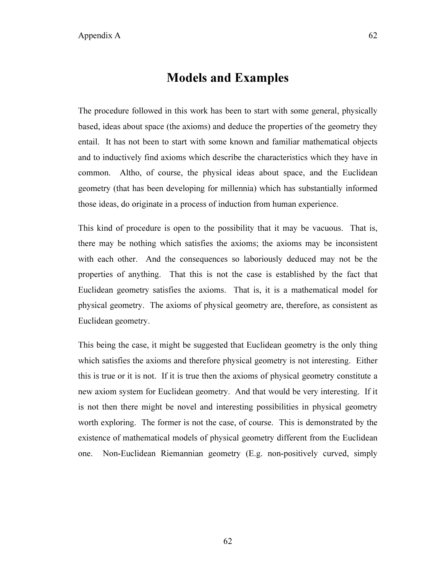# Models and Examples

The procedure followed in this work has been to start with some general, physically based, ideas about space (the axioms) and deduce the properties of the geometry they entail. It has not been to start with some known and familiar mathematical objects and to inductively find axioms which describe the characteristics which they have in common. Altho, of course, the physical ideas about space, and the Euclidean geometry (that has been developing for millennia) which has substantially informed those ideas, do originate in a process of induction from human experience.

This kind of procedure is open to the possibility that it may be vacuous. That is, there may be nothing which satisfies the axioms; the axioms may be inconsistent with each other. And the consequences so laboriously deduced may not be the properties of anything. That this is not the case is established by the fact that Euclidean geometry satisfies the axioms. That is, it is a mathematical model for physical geometry. The axioms of physical geometry are, therefore, as consistent as Euclidean geometry.

This being the case, it might be suggested that Euclidean geometry is the only thing which satisfies the axioms and therefore physical geometry is not interesting. Either this is true or it is not. If it is true then the axioms of physical geometry constitute a new axiom system for Euclidean geometry. And that would be very interesting. If it is not then there might be novel and interesting possibilities in physical geometry worth exploring. The former is not the case, of course. This is demonstrated by the existence of mathematical models of physical geometry different from the Euclidean one. Non-Euclidean Riemannian geometry (E.g. non-positively curved, simply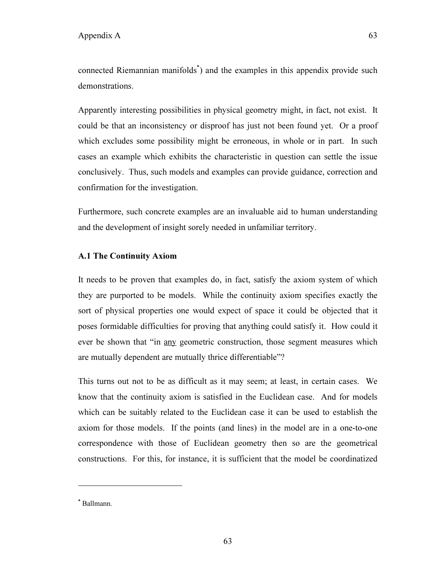connected Riemannian manifolds<sup>\*</sup>) and the examples in this appendix provide such demonstrations.

Apparently interesting possibilities in physical geometry might, in fact, not exist. It could be that an inconsistency or disproof has just not been found yet. Or a proof which excludes some possibility might be erroneous, in whole or in part. In such cases an example which exhibits the characteristic in question can settle the issue conclusively. Thus, such models and examples can provide guidance, correction and confirmation for the investigation.

Furthermore, such concrete examples are an invaluable aid to human understanding and the development of insight sorely needed in unfamiliar territory.

# A.1 The Continuity Axiom

It needs to be proven that examples do, in fact, satisfy the axiom system of which they are purported to be models. While the continuity axiom specifies exactly the sort of physical properties one would expect of space it could be objected that it poses formidable difficulties for proving that anything could satisfy it. How could it ever be shown that "in <u>any</u> geometric construction, those segment measures which are mutually dependent are mutually thrice differentiable"?

This turns out not to be as difficult as it may seem; at least, in certain cases. We know that the continuity axiom is satisfied in the Euclidean case. And for models which can be suitably related to the Euclidean case it can be used to establish the axiom for those models. If the points (and lines) in the model are in a one-to-one correspondence with those of Euclidean geometry then so are the geometrical constructions. For this, for instance, it is sufficient that the model be coordinatized

Ballmann.

Ξ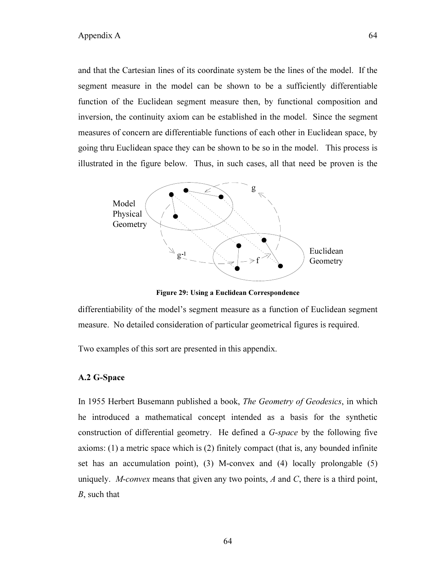and that the Cartesian lines of its coordinate system be the lines of the model. If the segment measure in the model can be shown to be a sufficiently differentiable function of the Euclidean segment measure then, by functional composition and inversion, the continuity axiom can be established in the model. Since the segment measures of concern are differentiable functions of each other in Euclidean space, by going thru Euclidean space they can be shown to be so in the model. This process is illustrated in the figure below. Thus, in such cases, all that need be proven is the



Figure 29: Using a Euclidean Correspondence

differentiability of the model's segment measure as a function of Euclidean segment measure. No detailed consideration of particular geometrical figures is required.

Two examples of this sort are presented in this appendix.

## A.2 G-Space

In 1955 Herbert Busemann published a book, *The Geometry of Geodesics*, in which he introduced a mathematical concept intended as a basis for the synthetic construction of differential geometry. He defined a G-space by the following five axioms: (1) a metric space which is (2) finitely compact (that is, any bounded infinite set has an accumulation point), (3) M-convex and (4) locally prolongable (5) uniquely. *M-convex* means that given any two points,  $\hat{A}$  and  $\hat{C}$ , there is a third point, B, such that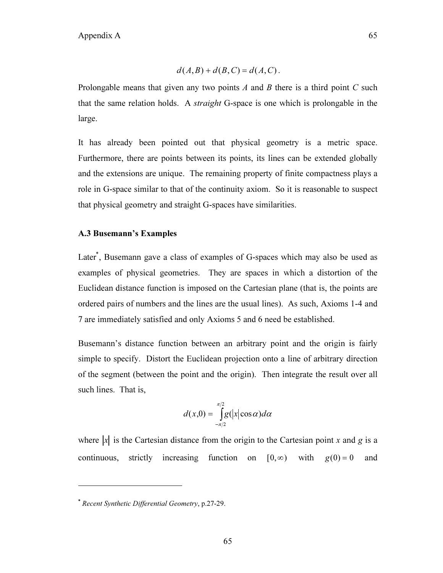$$
d(A,B)+d(B,C)=d(A,C).
$$

Prolongable means that given any two points A and B there is a third point C such that the same relation holds. A straight G-space is one which is prolongable in the large.

It has already been pointed out that physical geometry is a metric space. Furthermore, there are points between its points, its lines can be extended globally and the extensions are unique. The remaining property of finite compactness plays a role in G-space similar to that of the continuity axiom. So it is reasonable to suspect that physical geometry and straight G-spaces have similarities.

# A.3 Busemann's Examples

Later<sup>\*</sup>, Busemann gave a class of examples of G-spaces which may also be used as examples of physical geometries. They are spaces in which a distortion of the Euclidean distance function is imposed on the Cartesian plane (that is, the points are ordered pairs of numbers and the lines are the usual lines). As such, Axioms 1-4 and 7 are immediately satisfied and only Axioms 5 and 6 need be established.

Busemann's distance function between an arbitrary point and the origin is fairly simple to specify. Distort the Euclidean projection onto a line of arbitrary direction of the segment (between the point and the origin). Then integrate the result over all such lines. That is,

$$
d(x,0)=\int_{-\pi/2}^{\pi/2}g(|x|\cos\alpha)d\alpha
$$

where  $|x|$  is the Cartesian distance from the origin to the Cartesian point x and g is a continuous, strictly increasing function on  $[0,\infty)$  with  $g(0) = 0$  and

ī

Recent Synthetic Differential Geometry, p.27-29.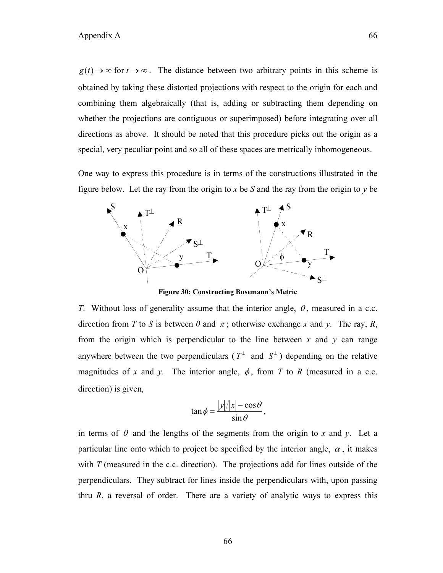$g(t) \rightarrow \infty$  for  $t \rightarrow \infty$ . The distance between two arbitrary points in this scheme is obtained by taking these distorted projections with respect to the origin for each and combining them algebraically (that is, adding or subtracting them depending on whether the projections are contiguous or superimposed) before integrating over all directions as above. It should be noted that this procedure picks out the origin as a special, very peculiar point and so all of these spaces are metrically inhomogeneous.

One way to express this procedure is in terms of the constructions illustrated in the figure below. Let the ray from the origin to x be S and the ray from the origin to y be



Figure 30: Constructing Busemann's Metric

T. Without loss of generality assume that the interior angle,  $\theta$ , measured in a c.c. direction from T to S is between 0 and  $\pi$ ; otherwise exchange x and y. The ray, R, from the origin which is perpendicular to the line between x and y can range anywhere between the two perpendiculars ( $T^{\perp}$  and  $S^{\perp}$ ) depending on the relative magnitudes of x and y. The interior angle,  $\phi$ , from T to R (measured in a c.c. direction) is given,

$$
\tan \phi = \frac{|y|/|x| - \cos \theta}{\sin \theta},
$$

in terms of  $\theta$  and the lengths of the segments from the origin to x and y. Let a particular line onto which to project be specified by the interior angle,  $\alpha$ , it makes with  $T$  (measured in the c.c. direction). The projections add for lines outside of the perpendiculars. They subtract for lines inside the perpendiculars with, upon passing thru  $R$ , a reversal of order. There are a variety of analytic ways to express this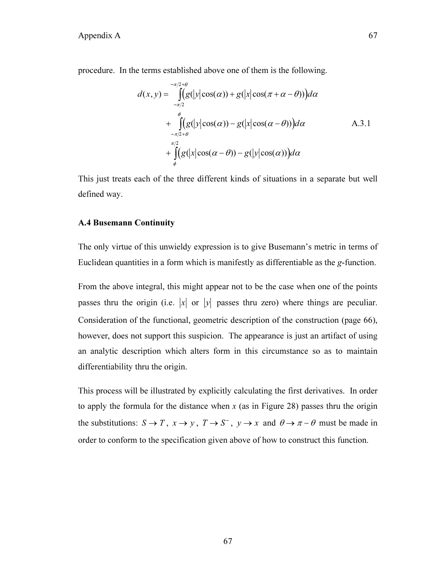procedure. In the terms established above one of them is the following.

$$
d(x,y) = \int_{-\pi/2}^{-\pi/2+\theta} (g(|y|\cos(\alpha)) + g(|x|\cos(\pi + \alpha - \theta)))d\alpha
$$
  
+ 
$$
\int_{-\pi/2+\theta}^{\phi} (g(|y|\cos(\alpha)) - g(|x|\cos(\alpha - \theta)))d\alpha
$$
 A.3.1  
+ 
$$
\int_{\phi}^{\pi/2} (g(|x|\cos(\alpha - \theta)) - g(|y|\cos(\alpha)))d\alpha
$$

This just treats each of the three different kinds of situations in a separate but well defined way.

# A.4 Busemann Continuity

The only virtue of this unwieldy expression is to give Busemann's metric in terms of Euclidean quantities in a form which is manifestly as differentiable as the g-function.

From the above integral, this might appear not to be the case when one of the points passes thru the origin (i.e.  $|x|$  or  $|y|$  passes thru zero) where things are peculiar. Consideration of the functional, geometric description of the construction (page 66), however, does not support this suspicion. The appearance is just an artifact of using an analytic description which alters form in this circumstance so as to maintain differentiability thru the origin.

This process will be illustrated by explicitly calculating the first derivatives. In order to apply the formula for the distance when  $x$  (as in Figure 28) passes thru the origin the substitutions:  $S \to T$ ,  $x \to y$ ,  $T \to S^-$ ,  $y \to x$  and  $\theta \to \pi - \theta$  must be made in order to conform to the specification given above of how to construct this function.

67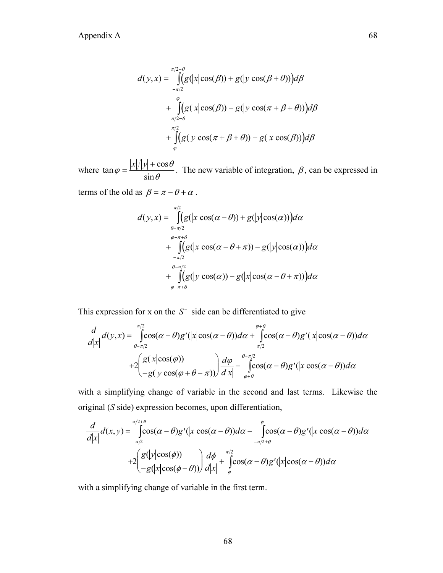$$
d(y,x) = \int_{-\pi/2}^{\pi/2-\theta} \left(g(|x|\cos(\beta)) + g(|y|\cos(\beta + \theta))\right) d\beta
$$
  
+ 
$$
\int_{\pi/2-\theta}^{\varphi} \left(g(|x|\cos(\beta)) - g(|y|\cos(\pi + \beta + \theta))\right) d\beta
$$
  
+ 
$$
\int_{\varphi}^{\pi/2} \left(g(|y|\cos(\pi + \beta + \theta)) - g(|x|\cos(\beta))\right) d\beta
$$

where tan cos sin  $\varphi$  $\sigma$  $\sigma$ =  $x$ |/| $y$ | +  $\Box$  The new variable of integration,  $\Box$  can be expressed in

terms of the old as  $\beta = \pi - \theta + \alpha$ .

$$
d(y,x) = \int_{\theta-\pi/2}^{\pi/2} (g(|x|\cos(\alpha-\theta)) + g(|y|\cos(\alpha)))d\alpha
$$
  
+ 
$$
\int_{-\pi/2}^{\varphi-\pi+\theta} (g(|x|\cos(\alpha-\theta+\pi)) - g(|y|\cos(\alpha)))d\alpha
$$
  
+ 
$$
\int_{\theta-\pi/2}^{\theta-\pi/2} (g(|y|\cos(\alpha)) - g(|x|\cos(\alpha-\theta+\pi)))d\alpha
$$

This expression for x on the  $S<sup>-</sup>$  side can be differentiated to give

$$
\frac{d}{d|x|}d(y,x) = \int_{\theta-\pi/2}^{\pi/2} \cos(\alpha-\theta)g'(|x|\cos(\alpha-\theta))d\alpha + \int_{\pi/2}^{\theta+\theta} \cos(\alpha-\theta)g'(|x|\cos(\alpha-\theta))d\alpha \n+2\left(\frac{g(|x|\cos(\varphi))}{-g(|y|\cos(\varphi+\theta-\pi))}\right)\frac{d\varphi}{d|x|} - \int_{\varphi+\theta}^{\theta+\pi/2} \cos(\alpha-\theta)g'(|x|\cos(\alpha-\theta))d\alpha
$$

with a simplifying change of variable in the second and last terms. Likewise the original (S side) expression becomes, upon differentiation,

$$
\frac{d}{d|x|}d(x,y) = \int_{\pi/2}^{\pi/2+\theta} \cos(\alpha-\theta)g'(|x|\cos(\alpha-\theta))d\alpha - \int_{-\pi/2+\theta}^{\phi} \cos(\alpha-\theta)g'(|x|\cos(\alpha-\theta))d\alpha
$$
  
+2
$$
\left(\frac{g(|y|\cos(\phi))}{-g(|x|\cos(\phi-\theta))}\right)\frac{d\phi}{d|x|} + \int_{\phi}^{\pi/2} \cos(\alpha-\theta)g'(|x|\cos(\alpha-\theta))d\alpha
$$

with a simplifying change of variable in the first term.

68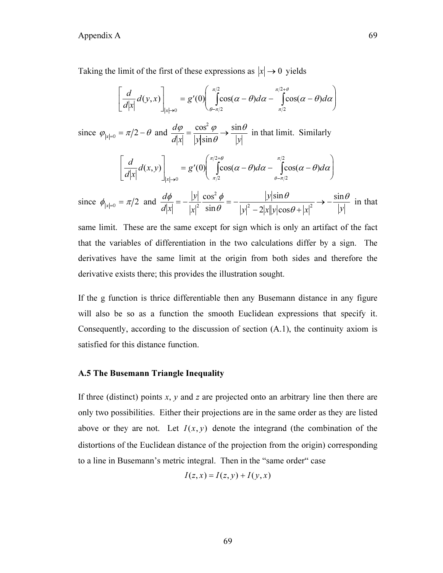Taking the limit of the first of these expressions as  $|x| \rightarrow 0$  yields

$$
\left[\frac{d}{d|x|}d(y,x)\right]_{|x|\to 0}=g'(0)\left(\int_{\theta-\pi/2}^{\pi/2}\cos(\alpha-\theta)d\alpha-\int_{\pi/2}^{\pi/2+\theta}\cos(\alpha-\theta)d\alpha\right)
$$

since  $\varphi_{\text{min}} = \pi/2 - \theta$  and  $\frac{a}{2}$  $a|x| = |y| \sin \theta$  y  $\varphi$  cos  $\varphi$  $\sigma$  $=\frac{\cos \varphi}{\cos \theta}$   $\rightarrow \frac{\sin \theta}{\cos \theta}$ sin  $\frac{\partial^2 \varphi}{\partial x \partial y}$  in that limit. Similarly

$$
\left[\frac{d}{d|x|}d(x,y)\right]_{|x|\to 0}=g'(0)\left(\int_{\pi/2}^{\pi/2+\theta}\cos(\alpha-\theta)d\alpha-\int_{\theta-\pi/2}^{\pi/2}\cos(\alpha-\theta)d\alpha\right)
$$

since  $\phi_{\text{lab}} = \pi/2$  and  $\frac{a}{a}$  $a$ | $x$ y x y  $y = 2|x||y|\cos\theta + |x|$  y  $\varphi$  y cos  $\varphi$  $\sigma$  $\sigma$  $\sigma$  $=-\frac{|y|}{2}\frac{\cos\varphi}{\cos\varphi}=-\frac{|y|\sin\theta}{2}$   $\rightarrow -\frac{\sin\theta}{2}$  $-$  4  $x$   $\mid$   $y$   $\mid$   $\cos \theta +$  $\frac{1}{\alpha}$   $\frac{1}{\alpha}$   $\frac{1}{\alpha}$   $\frac{1}{\alpha}$   $\frac{1}{\alpha}$   $\frac{1}{\alpha}$   $\frac{1}{\alpha}$   $\frac{1}{\alpha}$   $\frac{1}{\alpha}$   $\frac{1}{\alpha}$   $\frac{1}{\alpha}$   $\frac{1}{\alpha}$   $\frac{1}{\alpha}$   $\frac{1}{\alpha}$   $\frac{1}{\alpha}$   $\frac{1}{\alpha}$   $\frac{1}{\alpha}$   $\frac{1}{\alpha}$   $\frac{1}{\alpha}$   $\frac{1}{\alpha}$   $\blacksquare$  $2^2 - 2|x||y|\cos\theta + |x|^2$ cos sin sin cos  $\frac{\sin \theta}{\sin \theta}$  in that

same limit. These are the same except for sign which is only an artifact of the fact that the variables of differentiation in the two calculations differ by a sign. The derivatives have the same limit at the origin from both sides and therefore the derivative exists there; this provides the illustration sought.

If the g function is thrice differentiable then any Busemann distance in any figure will also be so as a function the smooth Euclidean expressions that specify it. Consequently, according to the discussion of section (A.1), the continuity axiom is satisfied for this distance function.

#### A.5 The Busemann Triangle Inequality

If three (distinct) points x, y and z are projected onto an arbitrary line then there are only two possibilities. Either their projections are in the same order as they are listed above or they are not. Let  $I(x, y)$  denote the integrand (the combination of the distortions of the Euclidean distance of the projection from the origin) corresponding to a line in Busemann's metric integral. Then in the "same order" case

$$
I(z, x) = I(z, y) + I(y, x)
$$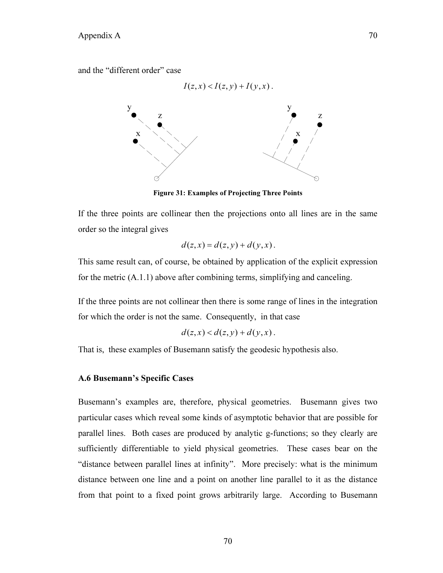and the "different order" case



Figure 31: Examples of Projecting Three Points

If the three points are collinear then the projections onto all lines are in the same order so the integral gives

$$
d(z,x) = d(z,y) + d(y,x).
$$

This same result can, of course, be obtained by application of the explicit expression for the metric (A.1.1) above after combining terms, simplifying and canceling.

If the three points are not collinear then there is some range of lines in the integration for which the order is not the same. Consequently, in that case

$$
d(z,x) < d(z,y) + d(y,x).
$$

That is, these examples of Busemann satisfy the geodesic hypothesis also.

# A.6 Busemann's Specific Cases

Busemann's examples are, therefore, physical geometries. Busemann gives two particular cases which reveal some kinds of asymptotic behavior that are possible for parallel lines. Both cases are produced by analytic g-functions; so they clearly are sufficiently differentiable to yield physical geometries. These cases bear on the "distance between parallel lines at infinity". More precisely: what is the minimum distance between one line and a point on another line parallel to it as the distance from that point to a fixed point grows arbitrarily large. According to Busemann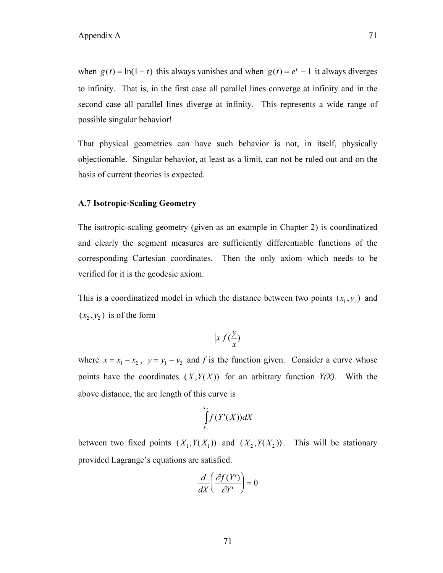when  $g(t) = \ln(1+t)$  this always vanishes and when  $g(t) = e^{t} - 1$  it always diverges to infinity. That is, in the first case all parallel lines converge at infinity and in the second case all parallel lines diverge at infinity. This represents a wide range of possible singular behavior!

That physical geometries can have such behavior is not, in itself, physically objectionable. Singular behavior, at least as a limit, can not be ruled out and on the basis of current theories is expected.

#### A.7 Isotropic-Scaling Geometry

The isotropic-scaling geometry (given as an example in Chapter 2) is coordinatized and clearly the segment measures are sufficiently differentiable functions of the corresponding Cartesian coordinates. Then the only axiom which needs to be verified for it is the geodesic axiom.

This is a coordinatized model in which the distance between two points  $(x_1, y_1)$  and  $(x_2, y_2)$  is of the form

$$
|x|f(\frac{y}{x})
$$

where  $x = x_1 - x_2$ ,  $y = y_1 - y_2$  and f is the function given. Consider a curve whose points have the coordinates  $(X, Y(X))$  for an arbitrary function  $Y(X)$ . With the above distance, the arc length of this curve is

$$
\int\limits_{X_1}^{X_2}f(Y'(X))dX
$$

between two fixed points  $(X_1, Y(X_1))$  and  $(X_2, Y(X_2))$ . This will be stationary provided Lagrange's equations are satisfied.

$$
\frac{d}{dX}\left(\frac{\partial f(Y')}{\partial Y'}\right) = 0
$$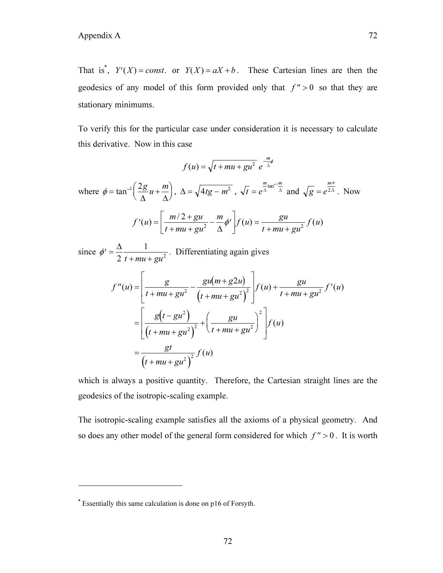That is<sup>\*</sup>,  $Y'(X) = const.$  or  $Y(X) = aX + b$ . These Cartesian lines are then the geodesics of any model of this form provided only that  $f'' > 0$  so that they are stationary minimums.

To verify this for the particular case under consideration it is necessary to calculate this derivative. Now in this case

$$
f(u) = \sqrt{t + mu + gu^2} e^{-\frac{m}{\Delta}\phi}
$$

where  $\phi = \tan^{-1} \left| \frac{2g}{u} + \cdots \right|$  $\left(\frac{2g}{\Delta}u+\frac{m}{\Delta}\right)$  $\tan^{-1}\left(\frac{2g}{\Delta}u+\frac{m}{\Delta}\right)$  $\Delta$   $\Delta$ ,  $\Delta = \sqrt{4tg - m^2}$ ,  $\sqrt{t} = e^{\frac{m}{\Delta} \tan^{-1} \frac{m}{\Delta}}$  and  $\sqrt{g}$  $\int_{\Delta}^{\frac{m}{\Delta} \tan^{-1} \frac{m}{\Delta}}$  and  $\sqrt{g} = e^{\frac{m\pi}{2\Delta}}$ . Now

$$
f'(u) = \left[ \frac{m/2 + gu}{t + mu + gu^2} - \frac{m}{\Delta} \phi' \right] f(u) = \frac{gu}{t + mu + gu^2} f(u)
$$

since  $\varphi =$  $+ mu +$  $\phi' = \frac{\Delta}{\epsilon}$ 2  $\frac{1}{t + mu + gu^2}$ . Dif . Differentiating again gives

$$
f''(u) = \left[\frac{g}{t + mu + gu^2} - \frac{gu(m + g2u)}{(t + mu + gu^2)^2}\right] f(u) + \frac{gu}{t + mu + gu^2} f'(u)
$$
  
= 
$$
\left[\frac{g(t - gu^2)}{(t + mu + gu^2)^2} + \left(\frac{gu}{t + mu + gu^2}\right)^2\right] f(u)
$$
  
= 
$$
\frac{gt}{(t + mu + gu^2)^2} f(u)
$$

which is always a positive quantity. Therefore, the Cartesian straight lines are the geodesics of the isotropic-scaling example.

The isotropic-scaling example satisfies all the axioms of a physical geometry. And so does any other model of the general form considered for which  $f'' > 0$ . It is worth

ī

 Essentially this same calculation is done on p16 of Forsyth.